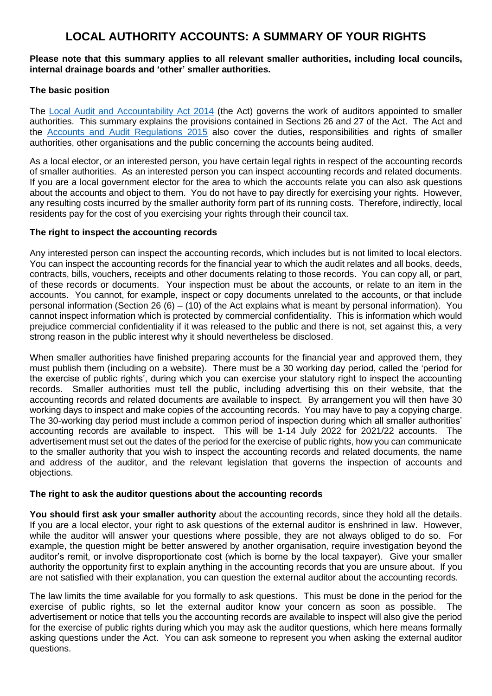# **LOCAL AUTHORITY ACCOUNTS: A SUMMARY OF YOUR RIGHTS**

### **Please note that this summary applies to all relevant smaller authorities, including local councils, internal drainage boards and 'other' smaller authorities.**

## **The basic position**

The [Local Audit and Accountability Act 2014](http://www.legislation.gov.uk/ukpga/2014/2/contents) (the Act) governs the work of auditors appointed to smaller authorities. This summary explains the provisions contained in Sections 26 and 27 of the Act. The Act and the [Accounts and Audit Regulations 2015](http://www.legislation.gov.uk/uksi/2015/234/contents/made) also cover the duties, responsibilities and rights of smaller authorities, other organisations and the public concerning the accounts being audited.

As a local elector, or an interested person, you have certain legal rights in respect of the accounting records of smaller authorities. As an interested person you can inspect accounting records and related documents. If you are a local government elector for the area to which the accounts relate you can also ask questions about the accounts and object to them. You do not have to pay directly for exercising your rights. However, any resulting costs incurred by the smaller authority form part of its running costs. Therefore, indirectly, local residents pay for the cost of you exercising your rights through their council tax.

## **The right to inspect the accounting records**

Any interested person can inspect the accounting records, which includes but is not limited to local electors. You can inspect the accounting records for the financial year to which the audit relates and all books, deeds, contracts, bills, vouchers, receipts and other documents relating to those records. You can copy all, or part, of these records or documents. Your inspection must be about the accounts, or relate to an item in the accounts. You cannot, for example, inspect or copy documents unrelated to the accounts, or that include personal information (Section 26 (6) – (10) of the Act explains what is meant by personal information). You cannot inspect information which is protected by commercial confidentiality. This is information which would prejudice commercial confidentiality if it was released to the public and there is not, set against this, a very strong reason in the public interest why it should nevertheless be disclosed.

When smaller authorities have finished preparing accounts for the financial year and approved them, they must publish them (including on a website). There must be a 30 working day period, called the 'period for the exercise of public rights', during which you can exercise your statutory right to inspect the accounting records. Smaller authorities must tell the public, including advertising this on their website, that the accounting records and related documents are available to inspect. By arrangement you will then have 30 working days to inspect and make copies of the accounting records. You may have to pay a copying charge. The 30-working day period must include a common period of inspection during which all smaller authorities' accounting records are available to inspect. This will be 1-14 July 2022 for 2021/22 accounts. The advertisement must set out the dates of the period for the exercise of public rights, how you can communicate to the smaller authority that you wish to inspect the accounting records and related documents, the name and address of the auditor, and the relevant legislation that governs the inspection of accounts and objections.

### **The right to ask the auditor questions about the accounting records**

**You should first ask your smaller authority** about the accounting records, since they hold all the details. If you are a local elector, your right to ask questions of the external auditor is enshrined in law. However, while the auditor will answer your questions where possible, they are not always obliged to do so. For example, the question might be better answered by another organisation, require investigation beyond the auditor's remit, or involve disproportionate cost (which is borne by the local taxpayer). Give your smaller authority the opportunity first to explain anything in the accounting records that you are unsure about. If you are not satisfied with their explanation, you can question the external auditor about the accounting records.

The law limits the time available for you formally to ask questions. This must be done in the period for the exercise of public rights, so let the external auditor know your concern as soon as possible. The advertisement or notice that tells you the accounting records are available to inspect will also give the period for the exercise of public rights during which you may ask the auditor questions, which here means formally asking questions under the Act. You can ask someone to represent you when asking the external auditor questions.